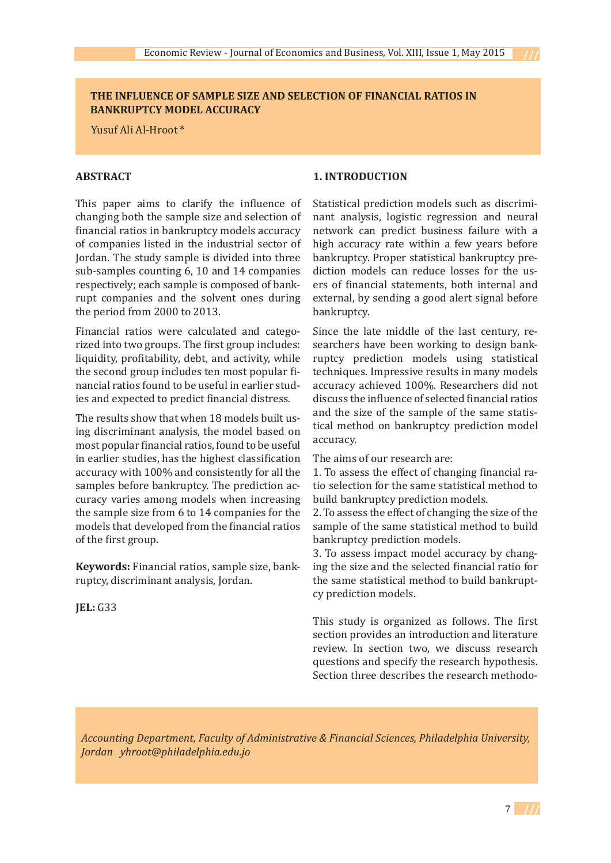### **THE INFLUENCE OF SAMPLE SIZE AND SELECTION OF FINANCIAL RATIOS IN BANKRUPTCY MODEL ACCURACY**

Yusuf Ali Al-Hroot \*

### **ABSTRACT**

This paper aims to clarify the influence of changing both the sample size and selection of financial ratios in bankruptcy models accuracy of companies listed in the industrial sector of Jordan. The study sample is divided into three sub-samples counting 6, 10 and 14 companies respectively; each sample is composed of bankrupt companies and the solvent ones during the period from 2000 to 2013.

Financial ratios were calculated and categorized into two groups. The first group includes: liquidity, profitability, debt, and activity, while the second group includes ten most popular financial ratios found to be useful in earlier studies and expected to predict financial distress.

The results show that when 18 models built using discriminant analysis, the model based on most popular financial ratios, found to be useful in earlier studies, has the highest classification accuracy with 100% and consistently for all the samples before bankruptcy. The prediction accuracy varies among models when increasing the sample size from 6 to 14 companies for the models that developed from the financial ratios of the first group.

**Keywords:** Financial ratios, sample size, bankruptcy, discriminant analysis, Jordan.

**JEL:** G33

### **1. INTRODUCTION**

Statistical prediction models such as discriminant analysis, logistic regression and neural network can predict business failure with a high accuracy rate within a few years before bankruptcy. Proper statistical bankruptcy prediction models can reduce losses for the users of financial statements, both internal and external, by sending a good alert signal before bankruptcy.

Since the late middle of the last century, researchers have been working to design bankruptcy prediction models using statistical techniques. Impressive results in many models accuracy achieved 100%. Researchers did not discuss the influence of selected financial ratios and the size of the sample of the same statistical method on bankruptcy prediction model accuracy.

The aims of our research are:

1. To assess the effect of changing financial ratio selection for the same statistical method to build bankruptcy prediction models.

2. To assess the effect of changing the size of the sample of the same statistical method to build bankruptcy prediction models.

3. To assess impact model accuracy by changing the size and the selected financial ratio for the same statistical method to build bankruptcy prediction models.

This study is organized as follows. The first section provides an introduction and literature review. In section two, we discuss research questions and specify the research hypothesis. Section three describes the research methodo-

*Accounting Department, Faculty of Administrative & Financial Sciences, Philadelphia University, Jordan yhroot@philadelphia.edu.jo*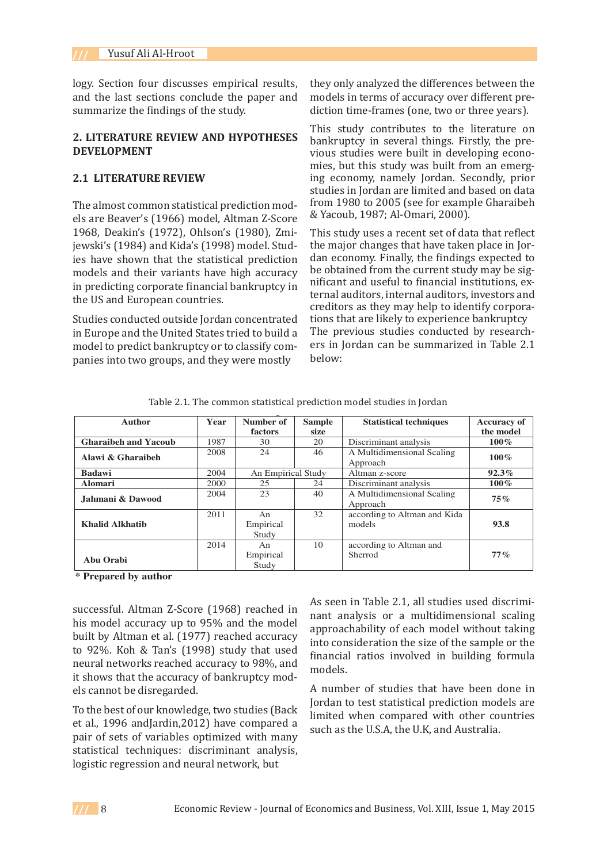logy. Section four discusses empirical results, and the last sections conclude the paper and summarize the findings of the study.

#### **2. LITERATURE REVIEW AND HYPOTHESES DEVELOPMENT**

#### **2.1 LITERATURE REVIEW**

The almost common statistical prediction models are Beaver's (1966) model, Altman Z-Score 1968, Deakin's (1972), Ohlson's (1980), Zmijewski's (1984) and Kida's (1998) model. Studies have shown that the statistical prediction and economy, rinally, the lindings expected to include the statistical prediction and based on the statistical prediction. models and their variants have high accuracy in predicting corporate financial bankruptcy in the US and European countries. models and their variants have high accuracy to bold to financial extreme state) thay be significant and useful to financial institutions, ex-

Studies conducted outside Jordan concentrated in Europe and the United States tried to build a model to predict bankruptcy or to classify commoder to predict bank uptcy of to classify comparison below:<br>panies into two groups, and they were mostly below: Studies conducted outside Jordan concentrated tions that are likely to experience bankruptcy<br>Jordan economy of the United States to be dealer in the current studies conducted by research in Europe and the Officed States tried to build a tric previous statics conducted by research-<br>model to predict bankruptcy or to classify com-ers in Jordan can be summarized in Table 2.1 pances the evolgroups, and they were mostly

they only analyzed the differences between the models in terms of accuracy over different prediction time-frames (one, two or three years).

This study contributes to the literature on bankruptcy in several things. Firstly, the previous studies were built in developing economies, but this study was built from an emerging economy, namely Jordan. Secondly, prior studies in Jordan are limited and based on data from 1980 to 2005 (see for example Gharaibeh & Yacoub, 1987; Al-Omari, 2000).

This study uses a recent set of data that reflect the major changes that have taken place in Jordan economy. Finally, the findings expected to be obtained from the current study may be sigternal auditors, internal auditors, investors and creditors as they may help to identify corpora-<br>Contract that the major changes the major changes that have taken place in the major changes that have taken p The previous studies conducted by researchbelow:

| Table 2.1. The common statistical prediction model studies in Jordan |  |
|----------------------------------------------------------------------|--|
|                                                                      |  |

| <b>Author</b>               | Year | Number of                | <b>Sample</b> | <b>Statistical techniques</b>          | <b>Accuracy of</b> |
|-----------------------------|------|--------------------------|---------------|----------------------------------------|--------------------|
|                             |      | <b>factors</b>           | size          |                                        | the model          |
| <b>Gharaibeh and Yacoub</b> | 1987 | 30                       | 20            | Discriminant analysis                  | $100\%$            |
| Alawi & Gharaibeh           | 2008 | 24                       | 46            | A Multidimensional Scaling<br>Approach | $100\%$            |
| <b>Badawi</b>               | 2004 | An Empirical Study       |               | Altman z-score                         | 92.3%              |
| <b>Alomari</b>              | 2000 | 25                       | 24            | Discriminant analysis                  | $100\%$            |
| Jahmani & Dawood            | 2004 | 23                       | 40            | A Multidimensional Scaling<br>Approach | 75%                |
| <b>Khalid Alkhatib</b>      | 2011 | An<br>Empirical<br>Study | 32            | according to Altman and Kida<br>models | 93.8               |
| Abu Orabi                   | 2014 | An<br>Empirical<br>Study | 10            | according to Altman and<br>Sherrod     | $77\%$             |

 **\* Prepared by author** 

successful. Altman Z-Score (1968) reached in built by Altman et al. (1977) reached accuracy  $\frac{\text{approx}}{\text{into } \text{c}}$ to 92%. Koh & Tan's (1998) study that used it shows that the accuracy of bankruptcy mod-<br> els cannot be disregarded.

To the best of our knowledge, two studies (Back limited wh et al., 1996 andJardin,2012) have compared a pair of sets of variables optimized with many statistical techniques: discriminant analysis,<br>logistic regression and neural network hut logistic regression and neural network, but

ences in the same of the size of the size of the same intervals and analysis or a multidimensional scaling his model accuracy up to 95% and the model approachability of each model without taking neural networks reached accuracy to 98%, and **Imancial Tatios involved in Banding formula** successful, Altman Z-Score (1968) reached in analysis of a multiplies used discriminant analysis or a multidimensional scaling approachability of each model without taking into consideration the size of the sample or the financial ratios involved in building formula models.

> A number of studies that have been done in Jordan to test statistical prediction models are limited when compared with other countries such as the U.S.A, the U.K, and Australia.

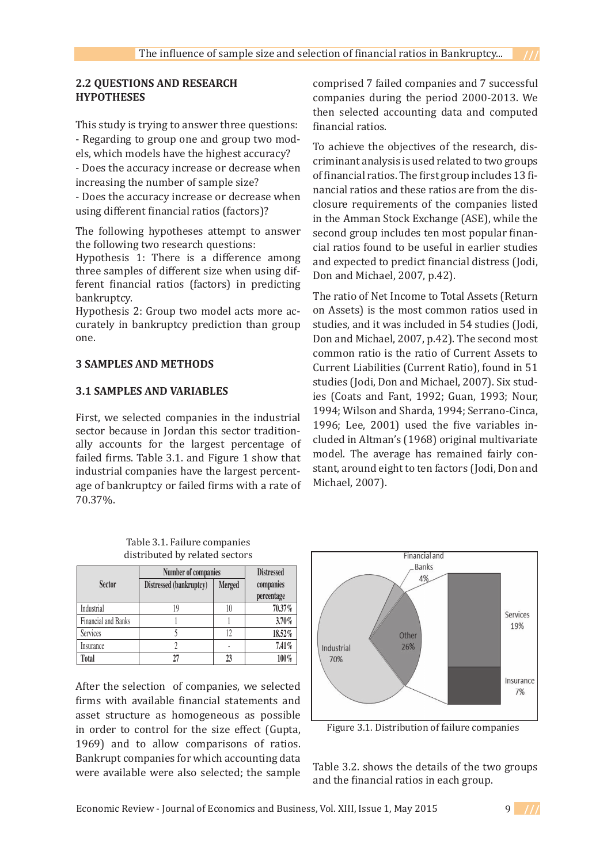### **2.2 QUESTIONS AND RESEARCH HYPOTHESES**

This study is trying to answer three questions: - Regarding to group one and group two models, which models have the highest accuracy? - Does the accuracy increase or decrease when increasing the number of sample size?

- Does the accuracy increase or decrease when using different financial ratios (factors)?

The following hypotheses attempt to answer the following two research questions:

Hypothesis 1: There is a difference among three samples of different size when using different financial ratios (factors) in predicting bankruptcy.

Hypothesis 2: Group two model acts more accurately in bankruptcy prediction than group one.

### **3 SAMPLES AND METHODS**

#### **3.1 SAMPLES AND VARIABLES**

First, we selected companies in the industrial sector because in Jordan this sector traditionally accounts for the largest percentage of failed firms. Table 3.1. and Figure 1 show that industrial companies have the largest percentage of bankruptcy or failed firms with a rate of Michael, 2 70.37%.  $\sqrt{0.37\%}$ .

comprised 7 failed companies and 7 successful companies during the period 2000-2013. We then selected accounting data and computed financial ratios.

To achieve the objectives of the research, discriminant analysis is used related to two groups of financial ratios. The first group includes 13 financial ratios and these ratios are from the disclosure requirements of the companies listed in the Amman Stock Exchange (ASE), while the second group includes ten most popular financial ratios found to be useful in earlier studies and expected to predict financial distress (Jodi, Don and Michael, 2007, p.42).

The ratio of Net Income to Total Assets (Return on Assets) is the most common ratios used in studies, and it was included in 54 studies (Jodi, Don and Michael, 2007, p.42). The second most common ratio is the ratio of Current Assets to Current Liabilities (Current Ratio), found in 51 studies (Jodi, Don and Michael, 2007). Six studies (Coats and Fant, 1992; Guan, 1993; Nour, 1994; Wilson and Sharda, 1994; Serrano-Cinca, 1996; Lee, 2001) used the five variables in-**Sector**  cluded in Altman's (1968) original multivariate **percentage**  model. The average has remained fairly constant, around eight to ten factors (Jodi, Don and Services 5 12 **18.52%**  Michael, 2007). Insurance 2 - **7.41%**   $\mathcal{L}_{\text{out}}$  and  $\mathcal{L}_{\text{in}}$  industrial sector traditionally sector traditionally sector traditionally sector traditionally sector traditionally sector traditionally sector traditionally sector traditionally sector tra  $\alpha$  and  $\alpha$  is the largest percentage of  $\alpha$  and  $\alpha$  and  $\alpha$  and  $\alpha$ companies have the largest percentage of  $\alpha$  bankruptcy or failed firms with a rate of  $70.37 \times 70.37 \times 70.37 \times 70.37 \times 70.37 \times 70.37 \times 70.37 \times 70.37 \times 70.37 \times 70.37 \times 70.37 \times 70.37 \times 70.37 \times 70.37 \times 70.37 \times 70.37 \times 70.37$ **Number of companies Distressed**   $001$  used the live valiable Financial and Banks 1 1 **3.70% Total 27 23 100%** 

| distributed by related sectors |                         |        |            |  |  |  |  |  |  |
|--------------------------------|-------------------------|--------|------------|--|--|--|--|--|--|
|                                | <b>Distressed</b>       |        |            |  |  |  |  |  |  |
| <b>Sector</b>                  | Distressed (bankruptcy) | Merged | companies  |  |  |  |  |  |  |
|                                |                         |        | percentage |  |  |  |  |  |  |
| Industrial                     | 19                      | 10     | 70.37%     |  |  |  |  |  |  |
| <b>Financial and Banks</b>     |                         |        | 3.70%      |  |  |  |  |  |  |
| Services                       |                         | 12     | 18.52%     |  |  |  |  |  |  |
| Insurance                      |                         |        | 7.41%      |  |  |  |  |  |  |
| <b>Total</b>                   |                         |        | 100%       |  |  |  |  |  |  |

Table 3.1. Failure companies

After the selection of companies, we selected firms with available financial statements and asset structure as homogeneous as possible in order to control for the size effect (Gupta, 1969) and to allow comparisons of ratios. Bankrupt companies for which accounting data were available were also selected; the sample



Figure 3.1. Distribution of failure companies

ie sample Table 3.2. shows the details of the two groups and the financial ratios in each group.

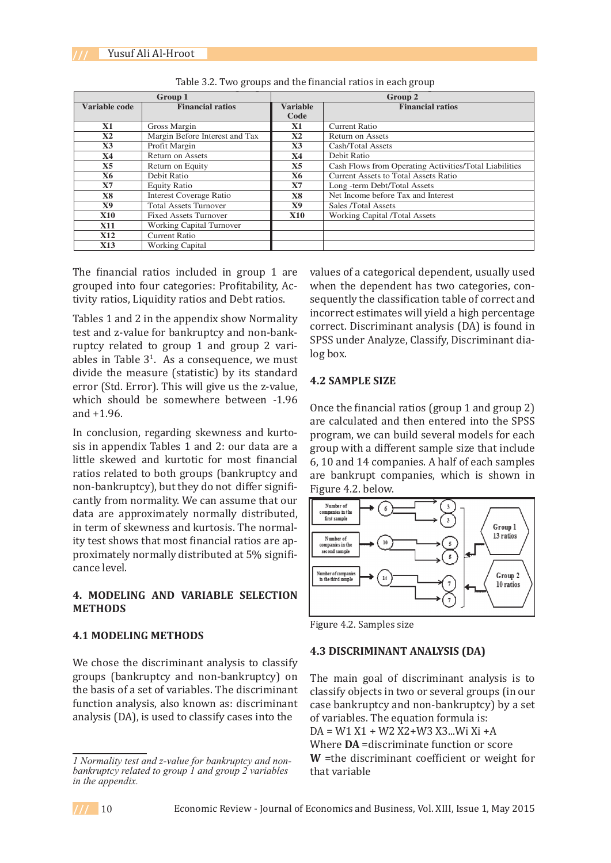|               | Group 1                         | Group 2                                    |                                                        |  |  |  |
|---------------|---------------------------------|--------------------------------------------|--------------------------------------------------------|--|--|--|
| Variable code | <b>Financial ratios</b>         | <b>Variable</b><br><b>Financial ratios</b> |                                                        |  |  |  |
|               |                                 | Code                                       |                                                        |  |  |  |
| X1            | Gross Margin                    | <b>X1</b>                                  | <b>Current Ratio</b>                                   |  |  |  |
| X2            | Margin Before Interest and Tax  | $\mathbf{X2}$                              | <b>Return on Assets</b>                                |  |  |  |
| X3            | Profit Margin                   | X3                                         | Cash/Total Assets                                      |  |  |  |
| <b>X4</b>     | <b>Return on Assets</b>         | <b>X4</b>                                  | Debit Ratio                                            |  |  |  |
| X5            | Return on Equity                | X <sub>5</sub>                             | Cash Flows from Operating Activities/Total Liabilities |  |  |  |
| X6            | Debit Ratio                     | X6                                         | <b>Current Assets to Total Assets Ratio</b>            |  |  |  |
| X7            | <b>Equity Ratio</b>             | <b>X7</b>                                  | Long -term Debt/Total Assets                           |  |  |  |
| <b>X8</b>     | <b>Interest Coverage Ratio</b>  | <b>X8</b>                                  | Net Income before Tax and Interest                     |  |  |  |
| <b>X9</b>     | <b>Total Assets Turnover</b>    | X9                                         | Sales /Total Assets                                    |  |  |  |
| <b>X10</b>    | <b>Fixed Assets Turnover</b>    | <b>X10</b>                                 | <b>Working Capital /Total Assets</b>                   |  |  |  |
| <b>X11</b>    | <b>Working Capital Turnover</b> |                                            |                                                        |  |  |  |
| <b>X12</b>    | <b>Current Ratio</b>            |                                            |                                                        |  |  |  |
| <b>X13</b>    | Working Capital                 |                                            |                                                        |  |  |  |

|  |  | Table 3.2. Two groups and the financial ratios in each group |
|--|--|--------------------------------------------------------------|
|  |  |                                                              |

The financial ratios included in group 1 are values of a categorical dependent, usually grouped into four categories: Profitability, Activity ratios, Liquidity ratios and Debt ratios.

Tables 1 and 2 in the appendix show Normality rables I and 2 in the appendix show Normality<br>test and z-value for bankruptcy and non-bank-<br>cpcs under Analys ruptcy related to group 1 and group 2 varirapids in Table  $3^1$ . As a consequence, we must log box. divide the measure (statistic) by its standard error (Std. Error). This will give us the z-value,  $\frac{4.2 \text{ SAMPLE SIZE}}{4.2 \text{ SAMPLE SIZE}}$ which should be somewhere between  $-1.96$  Once the financial ratios (group 1 and group 2) and +1.96. External z value for bank uptcy and non-bank<br>
SPSS under Analyze, Classify, Discriminant dia-<br> **SPSS** under Analyze, Classify, Discriminant diaand +1.96. The same of the financial ratios (group 1 and group 2) and  $\frac{1}{2}$ 

In conclusion, regarding skewness and kurtosis in appendix Tables 1 and 2: our data are a sis in appendix rabies 1 and 2. our data are a ratios related to both groups (bankruptcy and non-bankruptcy), but they do not differ signifi- Figure 4.2. below. cantly from normality. We can assume that our data are approximately normally distributed, cance level.

#### **METHODS** 4. MUDELING AND VAKIABLE SELECTION<br>METUODE

## **4.1 MODELING METHODS**

We chose the discriminant analysis to classify groups (bankruptcy and non-bankruptcy) on The main goal of discriminant analysis is to the basis of a set of variables. The discriminant function analysis, also known as: discriminant analysis (DA), is used to classify cases into the

values of a categorical dependent, usually used when the dependent has two categories, consequently the classification table of correct and Tables 1 and 2 in the appendix show Normality incorrect estimates will yield a high percentage correct. Discriminant analysis (DA) is found in log box.

#### **4.2 SAMPLE SIZE**

are calculated and then entered into the SPSS<br>distributed, in terms of skewness and kurtosis. The normality of skewness and kurtosis. The normality of skewn program, we can build several models for each group with a different sample size that include 6, 10 and 14 companies. A half of each samples are bankrupt companies, which is shown in Figure 4.2. below. th conclusion, regarding skowness and Kuro  $\sim$  program, we can build several models for each  $\sim$  1.1.





#### **4.3 DISCRIMINANT ANALYSIS (DA)**

The main goal of discriminant analysis is to classify objects in two or several groups (in our case bankruptcy and non-bankruptcy) by a set of variables. The equation formula is: DA = W1 X1 + W2 X2+W3 X3...Wi Xi +A Where DA =discriminate function or score **W** =the discriminant coefficient or weight for that variable



*Normality test and z-value for bankruptcy and nonbankruptcy related to group 1 and group 2 variables in the appendix.*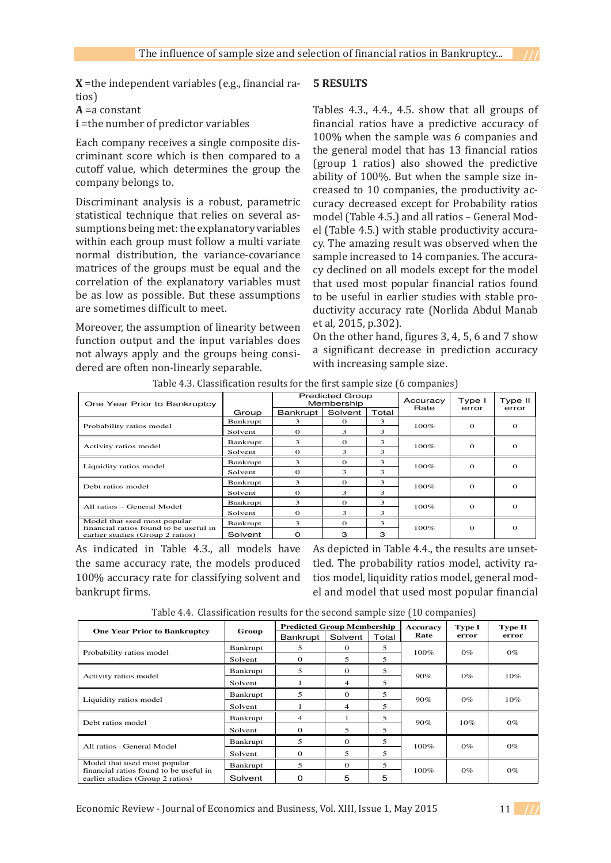**X** =the independent variables (e.g., financial ratios)

**A** =a constant

**i** = the number of predictor variables

Each company receives a single composite discriminant score which is then compared to a cutoff value, which determines the group the company belongs to.

Discriminant analysis is a robust, parametric statistical technique that relies on several assumptions being met: the explanatory variables within each group must follow a multi variate normal distribution, the variance-covariance matrices of the groups must be equal and the correlation of the explanatory variables must be as low as possible. But these assumptions are sometimes difficult to meet.

Moreover, the assumption of linearity between function output and the input variables does on the other hand, lightes 3, 4, 5, 6 and 7 s enced to super and the input variables above a significant decrease in prediction accuracy and the groups being considered are often non-linearly separable. With increasing sample size. with  $\frac{1}{2}$  is  $\frac{1}{2}$  if  $\frac{1}{2}$  if  $\frac{1}{2}$  if  $\frac{1}{2}$ 

### **5 RESULTS**

Tables 4.3., 4.4., 4.5. show that all groups of financial ratios have a predictive accuracy of 100% when the sample was 6 companies and the general model that has 13 financial ratios (group 1 ratios) also showed the predictive ability of 100%. But when the sample size increased to 10 companies, the productivity accuracy decreased except for Probability ratios model (Table 4.5.) and all ratios – General Model (Table 4.5.) with stable productivity accuracy. The amazing result was observed when the sample increased to 14 companies. The accuracy declined on all models except for the model that used most popular financial ratios found to be useful in earlier studies with stable productivity accuracy rate (Norlida Abdul Manab et al, 2015, p.302).

On the other hand, figures 3, 4, 5, 6 and 7 show In butput and the input variables does<br>ways apply and the groups being consi-<br> with increasing sample size.

| One Year Prior to Bankruptcy                                               |          | <b>Predicted Group</b><br>Membership |          |       | Accuracy<br>Rate | Type I   | Type II  |  |
|----------------------------------------------------------------------------|----------|--------------------------------------|----------|-------|------------------|----------|----------|--|
|                                                                            | Group    | Bankrupt                             | Solvent  | Total |                  | error    | error    |  |
| Probability ratios model                                                   | Bankrupt | 3.                                   | $\Omega$ | 3     | 100%             | $\Omega$ | $\Omega$ |  |
|                                                                            | Solvent  | $\Omega$                             | 3        | 3     |                  |          |          |  |
| Activity ratios model                                                      | Bankrupt | 3                                    | $\Omega$ | 3     | 100%             | $\Omega$ | $\Omega$ |  |
|                                                                            | Solvent  | $\Omega$                             | 3        | 3     |                  |          |          |  |
| Liquidity ratios model                                                     | Bankrupt | 3                                    | $\Omega$ | 3     | $100\%$          | $\Omega$ | $\Omega$ |  |
|                                                                            | Solvent  | $\Omega$                             | 3        | 3     |                  |          |          |  |
| Debt ratios model                                                          | Bankrupt | 3.                                   | $\Omega$ | 3     | $100\%$          | $\Omega$ | $\Omega$ |  |
|                                                                            | Solvent  | $\Omega$                             | 3        | 3     |                  |          |          |  |
| All ratios – General Model                                                 | Bankrupt | 3                                    | $\Omega$ | 3     | 100%             | $\Omega$ | $\Omega$ |  |
|                                                                            | Solvent  | $\Omega$                             | 3        | 3     |                  |          |          |  |
| Model that ssed most popular                                               | Bankrupt | 3                                    | $\Omega$ | 3     |                  |          |          |  |
| financial ratios found to be useful in<br>earlier studies (Group 2 ratios) | Solvent  | $\Omega$                             | з        | з     | $100\%$          | $\Omega$ | $\Omega$ |  |

**Table 4: Classification results for the first sample size (6 companies)**  Table 4.3. Classification results for the first sample size (6 companies)

As indicated in Table 4.3., all models have As depicted in Table 4.4., the results are the same accuracy rate, the models produced the The proba apcuring  $\epsilon_1$  and  $\epsilon_2$ 100% accuracy rate for classifying solvent and bankrupt firms.

**Table 5: Classification results for the second sample size (10 companies)**  tios model, liquidity ratios model, general modo *n* accuracy rate for classifying solvent and thus model, inquirity ratios model, general model<br>el and model that used most popular financial<br>el and model that used most popular financial models have As depicted in Table 4.4., the results are unsettled. The probability ratios model, activity ra-

|  | Table 4.4. Classification results for the second sample size (10 companies) |  |
|--|-----------------------------------------------------------------------------|--|
|  |                                                                             |  |

| <b>One Year Prior to Bankruptcy</b>                                    | Group    | <b>Predicted Group Membership</b> |                |       | Accuracy | Type I | Type II |
|------------------------------------------------------------------------|----------|-----------------------------------|----------------|-------|----------|--------|---------|
|                                                                        |          | <b>Bankrupt</b>                   | Solvent        | Total | Rate     | error  | error   |
| Probability ratios model                                               | Bankrupt | 5                                 | $\Omega$       | 5     | 100%     | $0\%$  | $0\%$   |
|                                                                        | Solvent  | 0                                 | 5              | 5     |          |        |         |
| Activity ratios model                                                  | Bankrupt | 5                                 | $\Omega$       | 5     | 90%      | $0\%$  | 10%     |
|                                                                        | Solvent  |                                   | $\overline{4}$ | 5     |          |        |         |
| Liquidity ratios model                                                 | Bankrupt | 5                                 | $\Omega$       | 5     | 90%      | $0\%$  | 10%     |
|                                                                        | Solvent  |                                   | $\overline{4}$ | 5     |          |        |         |
| Debt ratios model                                                      | Bankrupt | $\overline{4}$                    |                | 5     | 90%      | $10\%$ | $0\%$   |
|                                                                        | Solvent  | 0                                 | 5              | 5     |          |        |         |
| All ratios- General Model                                              | Bankrupt | 5                                 | $\Omega$       | 5     | 100%     | $0\%$  | $0\%$   |
|                                                                        | Solvent  | 0                                 | 5              | 5     |          |        |         |
| Model that used most popular<br>financial ratios found to be useful in | Bankrupt | 5                                 | $\Omega$       | 5     |          | $0\%$  |         |
| earlier studies (Group 2 ratios)                                       | Solvent  | Ω                                 | 5              | 5     | 100%     |        | $0\%$   |

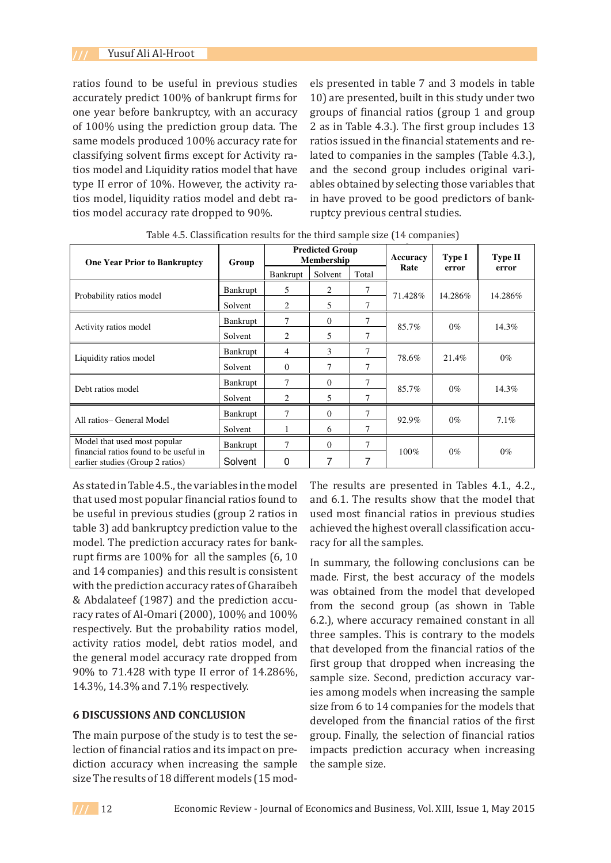ratios found to be useful in previous studies accurately predict 100% of bankrupt firms for one year before bankruptcy, with an accuracy of 100% using the prediction group data. The same models produced 100% accuracy rate for ratios issued in the financial statements a classifying solvent firms except for Activity ratios model and Liquidity ratios model that have and the second group includes original type II error of 10%. However, the activity ra- ables obtained by selecting those variable tios model, liquidity ratios model and debt ratios model accuracy rate dropped to 90%. ratios model, liquidity ratios model and debt ratios model accuracy rate dropped to 90%.

els presented in table 7 and 3 models in table 10) are presented, built in this study under two groups of financial ratios (group 1 and group 2 as in Table 4.3.). The first group includes 13 ratios issued in the financial statements and refying solvent firms except for Activity ra- lated to companies in the samples (Table 4.3.), and the second group includes original vari-II error of 10%. However, the activity ra-<br>ables obtained by selecting those variables that hodel, liquidity ratios model and debt ra- in have proved to be good predictors of bankruptcy previous central studies.

| <b>One Year Prior to Bankruptcy</b>                                        | Group    |          | <b>Predicted Group</b><br><b>Membership</b> |       | Accuracy | Type I  | <b>Type II</b> |  |
|----------------------------------------------------------------------------|----------|----------|---------------------------------------------|-------|----------|---------|----------------|--|
|                                                                            |          | Bankrupt | Solvent                                     | Total | Rate     | error   | error          |  |
|                                                                            | Bankrupt | 5        | 2                                           | 7     | 71.428%  | 14.286% | 14.286%        |  |
| Probability ratios model                                                   | Solvent  | 2        | 5                                           | 7     |          |         |                |  |
| Activity ratios model                                                      | Bankrupt | 7        | $\Omega$                                    | 7     | 85.7%    | $0\%$   | 14.3%          |  |
|                                                                            | Solvent  | 2        | 5                                           | 7     |          |         |                |  |
| Liquidity ratios model                                                     | Bankrupt | 4        | 3                                           | 7     | 78.6%    | 21.4%   | $0\%$          |  |
|                                                                            | Solvent  | $\Omega$ | 7                                           | 7     |          |         |                |  |
| Debt ratios model                                                          | Bankrupt | 7        | $\Omega$                                    | 7     | 85.7%    | $0\%$   | 14.3%          |  |
|                                                                            | Solvent  | 2        | 5                                           | 7     |          |         |                |  |
| All ratios- General Model                                                  | Bankrupt | 7        | $\Omega$                                    | 7     | 92.9%    | $0\%$   |                |  |
|                                                                            | Solvent  |          | 6                                           | 7     |          |         | 7.1%           |  |
| Model that used most popular                                               | Bankrupt | 7        | $\Omega$                                    | 7     |          |         |                |  |
| financial ratios found to be useful in<br>earlier studies (Group 2 ratios) | Solvent  | 0        | 7                                           | 7     | 100%     | $0\%$   | $0\%$          |  |

**Table 6: Classification results for the third sample size (14 companies)**  Table 4.5. Classification results for the third sample size (14 companies)

As stated in Table 4.5., the variables in the model  that used most popular financial ratios found to and 6.1. The results show that the mode be useful in previous studies (group 2 ratios in used most financial ratios in previous st table 3) add bankruptcy prediction value to the model. The prediction accuracy rates for bank-  $\;$  racy for all the samples. rupt firms are 100% for all the samples  $(6, 10$  In summary, the following conclusions of and 14 companies) and this result is consistent  $\frac{1}{\text{mode}}$ . First, the best accuracy of the m with the prediction accuracy rates of Gharaibeh 14.286%, 14.3%, 14.3% and 7.1% respectively**.** & Abdalateef (1987) and the prediction accuracy rates of Al-Omari (2000), 100% and 100% respectively. But the probability ratios model, activity ratios model, debt ratios model, and that developed from the financial ratios the general model accuracy rate dropped from the second post from the interesting range.  $90\%$  to 71.428 with type II error of 14.286%, sample size. Second, prediction accuracted summing  $90\%$  to 71.428 with type II error of 14.286%, sample size. Second, prediction accuracted 14.3%, 14.3% and 7.1% respectively.  $\frac{1}{\sqrt{2}}$  and  $\frac{1}{\sqrt{2}}$  rates for  $\frac{1}{\sqrt{2}}$  rates  $\frac{1}{\sqrt{2}}$  rates for all the samples  $\frac{1}{\sqrt{2}}$  rates  $\frac{1}{\sqrt{2}}$  rates  $\frac{1}{\sqrt{2}}$  rates  $\frac{1}{\sqrt{2}}$  rates  $\frac{1}{\sqrt{2}}$  rates  $\frac{1}{\sqrt{2}}$  rates  $\frac{1}{\sqrt{$ 5) and bank upicy prediction value to the achieved the highest overall classification

### **6 DISCUSSIONS AND CONCLUSION**

The main purpose of the study is to test the selection of financial ratios and its impact on prediction accuracy when increasing the sample size The results of 18 different models (15 modThe results are presented in Tables 4.1., 4.2., and 6.1. The results show that the model that used most financial ratios in previous studies achieved the highest overall classification accuracy for all the samples.

In summary, the following conclusions can be made. First, the best accuracy of the models was obtained from the model that developed from the second group (as shown in Table 6.2.), where accuracy remained constant in all ctively. But the probability ratios model, three samples. This is contrary to the models that developed from the financial ratios of the first group that dropped when increasing the sample size. Second, prediction accuracy variable statements and relation accuracy variable 3.14.3% and 7.1% respectively. ies among models when increasing the sample includes original variables of the sample cussions and concurred that  $\frac{14}{2}$  size from 6 to 14 companies for the models that developed from the financial ratios of the first group. Finally, the selection of financial ratios impacts prediction accuracy when increasing the sample size.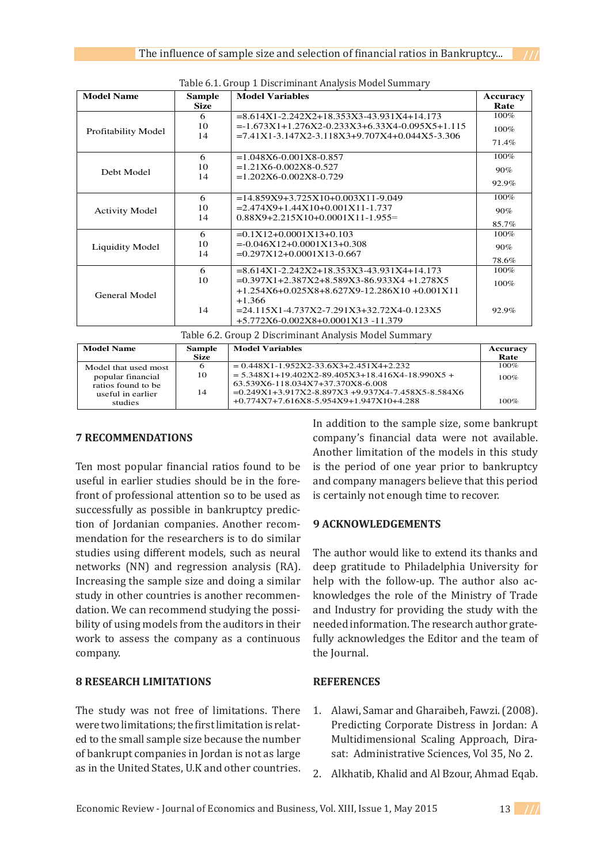| <b>Model Name</b>      | <b>Sample</b> | <b>Model Variables</b>                                    | Accuracy |
|------------------------|---------------|-----------------------------------------------------------|----------|
|                        | <b>Size</b>   |                                                           | Rate     |
|                        | 6             | $= 8.614X1 - 2.242X2 + 18.353X3 - 43.931X4 + 14.173$      | $100\%$  |
|                        | 10            | $=1.673X1+1.276X2-0.233X3+6.33X4-0.095X5+1.115$           | $100\%$  |
| Profitability Model    | 14            | $=7.41X1 - 3.147X2 - 3.118X3 + 9.707X4 + 0.044X5 - 3.306$ |          |
|                        |               |                                                           | 71.4%    |
|                        | 6             | $=1.048X6 - 0.001X8 - 0.857$                              | 100%     |
|                        | 10            | $=1.21X6 - 0.002X8 - 0.527$                               | 90%      |
| Debt Model             | 14            | $=1.202X6 - 0.002X8 - 0.729$                              |          |
|                        |               |                                                           | 92.9%    |
|                        | 6             | $=14.859X9+3.725X10+0.003X11-9.049$                       | 100%     |
| <b>Activity Model</b>  | 10            | $= 2.474X9 + 1.44X10 + 0.001X11 - 1.737$                  | 90%      |
|                        | 14            | $0.88X9+2.215X10+0.0001X11-1.955=$                        |          |
|                        |               |                                                           | 85.7%    |
|                        | 6             | $=0.1X12+0.0001X13+0.103$                                 | 100%     |
| <b>Liquidity Model</b> | 10            | $=0.046X12+0.0001X13+0.308$                               | 90%      |
|                        | 14            | $=0.297X12+0.0001X13-0.667$                               |          |
|                        |               |                                                           | 78.6%    |
|                        | 6             | $= 8.614X1 - 2.242X2 + 18.353X3 - 43.931X4 + 14.173$      | $100\%$  |
|                        | 10            | $=0.397X1+2.387X2+8.589X3-86.933X4+1.278X5$               | 100%     |
| General Model          |               | $+1.254X6+0.025X8+8.627X9-12.286X10+0.001X11$             |          |
|                        |               | $+1.366$                                                  |          |
|                        | 14            | $= 24.115X1 - 4.737X2 - 7.291X3 + 32.72X4 - 0.123X5$      | 92.9%    |
|                        |               | +5.772X6-0.002X8+0.0001X13-11.379                         |          |

Table 6.1. Group 1 Discriminant Analysis Model Summary The results are presented in Tables 4, 5 and 6. The results show that the model that used most show that used most

**Table 8: Group 2 Discriminant Analysis Model Summary Table 8: Group 2 Discriminant Analysis Model Summary** Table 6.2. Group 2 Discriminant Analysis Model Summary

| <b>Model Name</b>    | <b>Sample</b> | <b>Model Variables</b>                                    | Accuracy |
|----------------------|---------------|-----------------------------------------------------------|----------|
|                      | <b>Size</b>   |                                                           | Rate     |
| Model that used most | o             | $= 0.448X1 - 1.952X2 - 33.6X3 + 2.451X4 + 2.232$          | $100\%$  |
| popular financial    | 10            | $= 5.348X1 + 19.402X2 - 89.405X3 + 18.416X4 - 18.990X5 +$ | $100\%$  |
| ratios found to be   |               | 63.539X6-118.034X7+37.370X8-6.008                         |          |
| useful in earlier    | 14            | $=0.249X1+3.917X2-8.897X3+9.937X4-7.458X5-8.584X6$        |          |
| studies              |               | +0.774X7+7.616X8-5.954X9+1.947X10+4.288                   | 100%     |

+0.774X7+7.616X8-5.954X9+1.947X10+4.288

### **7 RECOMMENDATIONS**

t<del>he samples.</del>

useful in earlier studies should be in the fore- and company managers believe that this period size in the state. Should be in the fore and company managers beneve that this period from of professional attention so to be used as  $\sim$  is certainly not enough time to recover. successfully as possible in bankruptcy predic-*PECOMMENDATIONS IN SAMPLE SIZE SIZE COMMENT RECOMMENDATION CONSUMERDATION IS to as neural* networks (NN) and regression analysis (RA). deep gratitude to Philadelphia University for Increasing the sample size and doing a similar help with the follow-up. The author also acstudy in other countries is another recommen-<br>knowledges the role of the Ministry of Trade Finally, the selection of financial ratios in the selection of the selection and increase when increases when increases the selection of the selection of the selection of the selection of the selection of the selection of front of professional attention so to be used as mendation for the researchers is to do similar prediction of the House of Jordanian companies. The author would like to chemically the relationship study in other countries is another recommendation. We can recommend studying the possibility of using models from the auditors in their work to assess the company as a continuous company.

### **8 RESEARCH LIMITATIONS**

The study was not free of limitations. There were two limitations; the first limitation is related to the small sample size because the number of bankrupt companies in Jordan is not as large as in the United States, U.K and other countries.

7 RECOMMENDATIONS company's financial data were not available. was obtained from the models in this study.<br>Another limitation of the models in this study. Ten most popular financial ratios found to be is the period of one year prior to bankruptcy In addition to the sample size, some bankrupt Another limitation of the models in this study n most popular financial ratios found to be is the period of one year prior to bankruptcy eful in earlier studies should be in the fore- and company managers believe that this period is certainly not enough time to recover.

### **9 ACKNOWLEDGEMENTS**

idies using different models, such as neural The author would like to extend its thanks and deep gratitude to Philadelphia University for help with the follow-up. The author also acand Industry for providing the study with the needed information. The research author gratefully acknowledges the Editor and the team of the Journal.

### **REFERENCES**

- Alawi, Samar and Gharaibeh, Fawzi. (2008). Predicting Corporate Distress in Jordan: A Multidimensional Scaling Approach, Dirasat: Administrative Sciences, Vol 35, No 2. 1.
- 2. Alkhatib, Khalid and Al Bzour, Ahmad Eqab.



100%<br>100%<br>100%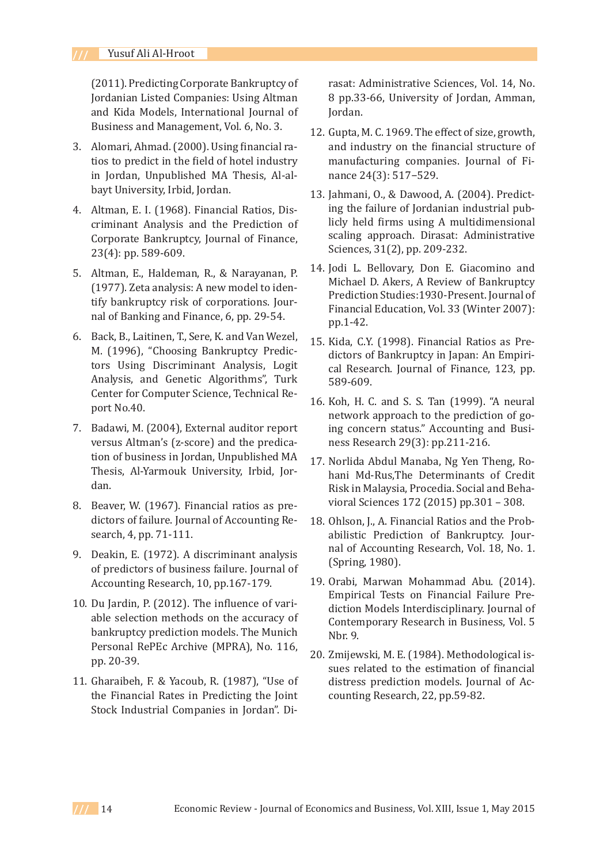(2011). Predicting Corporate Bankruptcy of Jordanian Listed Companies: Using Altman and Kida Models, International Journal of Business and Management, Vol. 6, No. 3.

- 3. Alomari, Ahmad. (2000). Using financial ratios to predict in the field of hotel industry in Jordan, Unpublished MA Thesis, Al-albayt University, Irbid, Jordan.
- Altman, E. I. (1968). Financial Ratios, Dis-4. criminant Analysis and the Prediction of Corporate Bankruptcy, Journal of Finance, 23(4): pp. 589-609.
- Altman, E., Haldeman, R., & Narayanan, P. 5. (1977). Zeta analysis: A new model to identify bankruptcy risk of corporations. Journal of Banking and Finance, 6, pp. 29-54.
- 6. Back, B., Laitinen, T., Sere, K. and Van Wezel, M. (1996), "Choosing Bankruptcy Predictors Using Discriminant Analysis, Logit Analysis, and Genetic Algorithms", Turk Center for Computer Science, Technical Report No.40.
- 7. Badawi, M. (2004), External auditor report versus Altman's (z-score) and the predication of business in Jordan, Unpublished MA Thesis, Al-Yarmouk University, Irbid, Jordan.
- 8. Beaver, W. (1967). Financial ratios as predictors of failure. Journal of Accounting Research, 4, pp. 71-111.
- Deakin, E. (1972). A discriminant analysis 9. of predictors of business failure. Journal of Accounting Research, 10, pp.167-179.
- 10. Du Jardin, P. (2012). The influence of variable selection methods on the accuracy of bankruptcy prediction models. The Munich Personal RePEc Archive (MPRA), No. 116, pp. 20-39.
- Gharaibeh, F. & Yacoub, R. (1987), "Use of 11. the Financial Rates in Predicting the Joint Stock Industrial Companies in Jordan". Di-

rasat: Administrative Sciences, Vol. 14, No. 8 pp.33-66, University of Jordan, Amman, Jordan.

- 12. Gupta, M. C. 1969. The effect of size, growth, and industry on the financial structure of manufacturing companies. Journal of Finance 24(3): 517−529.
- Jahmani, O., & Dawood, A. (2004). Predict-13. ing the failure of Jordanian industrial publicly held firms using A multidimensional scaling approach. Dirasat: Administrative Sciences, 31(2), pp. 209-232.
- Jodi L. Bellovary, Don E. Giacomino and 14. Michael D. Akers, A Review of Bankruptcy Prediction Studies:1930-Present. Journal of Financial Education, Vol. 33 (Winter 2007): pp.1-42.
- 15. Kida, C.Y. (1998). Financial Ratios as Predictors of Bankruptcy in Japan: An Empirical Research. Journal of Finance, 123, pp. 589-609.
- 16. Koh, H. C. and S. S. Tan (1999). "A neural network approach to the prediction of going concern status." Accounting and Business Research 29(3): pp.211-216.
- 17. Norlida Abdul Manaba, Ng Yen Theng, Rohani Md-Rus,The Determinants of Credit Risk in Malaysia, Procedia. Social and Behavioral Sciences 172 (2015) pp.301 – 308.
- 18. Ohlson, J., A. Financial Ratios and the Probabilistic Prediction of Bankruptcy. Journal of Accounting Research, Vol. 18, No. 1. (Spring, 1980).
- 19. Orabi, Marwan Mohammad Abu. (2014). Empirical Tests on Financial Failure Prediction Models Interdisciplinary. Journal of Contemporary Research in Business, Vol. 5 Nbr. 9.
- 20. Zmijewski, M. E. (1984). Methodological issues related to the estimation of financial distress prediction models. Journal of Accounting Research, 22, pp.59-82.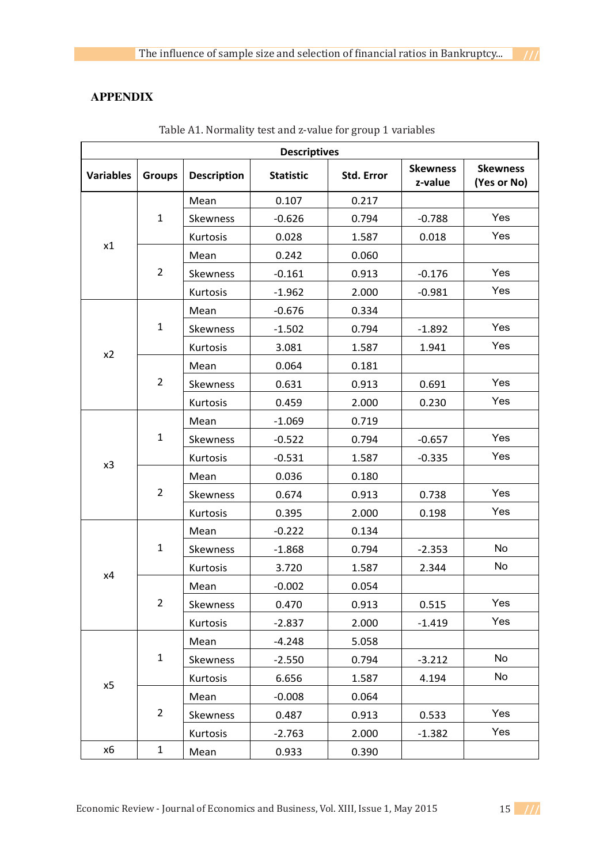# **10 APPENDIX**

| <b>Descriptives</b> |                |                    |                  |                   |                            |                                |  |  |  |
|---------------------|----------------|--------------------|------------------|-------------------|----------------------------|--------------------------------|--|--|--|
| <b>Variables</b>    | <b>Groups</b>  | <b>Description</b> | <b>Statistic</b> | <b>Std. Error</b> | <b>Skewness</b><br>z-value | <b>Skewness</b><br>(Yes or No) |  |  |  |
|                     |                | Mean               | 0.107            | 0.217             |                            |                                |  |  |  |
|                     | $\mathbf{1}$   | Skewness           | $-0.626$         | 0.794             | $-0.788$                   | Yes                            |  |  |  |
|                     |                | Kurtosis           | 0.028            | 1.587             | 0.018                      | Yes                            |  |  |  |
| x1                  |                | Mean               | 0.242            | 0.060             |                            |                                |  |  |  |
|                     | $\overline{2}$ | Skewness           | $-0.161$         | 0.913             | $-0.176$                   | Yes                            |  |  |  |
|                     |                | Kurtosis           | $-1.962$         | 2.000             | $-0.981$                   | Yes                            |  |  |  |
|                     |                | Mean               | $-0.676$         | 0.334             |                            |                                |  |  |  |
|                     | $\mathbf{1}$   | Skewness           | $-1.502$         | 0.794             | $-1.892$                   | Yes                            |  |  |  |
| x2                  |                | Kurtosis           | 3.081            | 1.587             | 1.941                      | Yes                            |  |  |  |
|                     |                | Mean               | 0.064            | 0.181             |                            |                                |  |  |  |
|                     | $\overline{2}$ | Skewness           | 0.631            | 0.913             | 0.691                      | Yes                            |  |  |  |
|                     |                | Kurtosis           | 0.459            | 2.000             | 0.230                      | Yes                            |  |  |  |
|                     | $\mathbf{1}$   | Mean               | $-1.069$         | 0.719             |                            |                                |  |  |  |
|                     |                | Skewness           | $-0.522$         | 0.794             | $-0.657$                   | Yes                            |  |  |  |
| x3                  |                | Kurtosis           | $-0.531$         | 1.587             | $-0.335$                   | Yes                            |  |  |  |
|                     | $\overline{2}$ | Mean               | 0.036            | 0.180             |                            |                                |  |  |  |
|                     |                | Skewness           | 0.674            | 0.913             | 0.738                      | Yes                            |  |  |  |
|                     |                | Kurtosis           | 0.395            | 2.000             | 0.198                      | Yes                            |  |  |  |
|                     |                | Mean               | $-0.222$         | 0.134             |                            |                                |  |  |  |
|                     | $\mathbf{1}$   | Skewness           | $-1.868$         | 0.794             | $-2.353$                   | No                             |  |  |  |
| x4                  |                | Kurtosis           | 3.720            | 1.587             | 2.344                      | No                             |  |  |  |
|                     |                | Mean               | $-0.002$         | 0.054             |                            |                                |  |  |  |
|                     | $\overline{2}$ | Skewness           | 0.470            | 0.913             | 0.515                      | Yes                            |  |  |  |
|                     |                | Kurtosis           | $-2.837$         | 2.000             | $-1.419$                   | Yes                            |  |  |  |
|                     |                | Mean               | $-4.248$         | 5.058             |                            |                                |  |  |  |
|                     | $\mathbf 1$    | Skewness           | $-2.550$         | 0.794             | $-3.212$                   | No                             |  |  |  |
|                     |                | Kurtosis           | 6.656            | 1.587             | 4.194                      | No                             |  |  |  |
| x5                  |                | Mean               | $-0.008$         | 0.064             |                            |                                |  |  |  |
|                     | $\overline{2}$ | Skewness           | 0.487            | 0.913             | 0.533                      | Yes                            |  |  |  |
|                     |                | Kurtosis           | $-2.763$         | 2.000             | $-1.382$                   | Yes                            |  |  |  |
| x6                  | $\mathbf{1}$   | Mean               | 0.933            | 0.390             |                            |                                |  |  |  |

**Table 1: Normality test and z-value for group 1 variables**  Table A1. Normality test and z-value for group 1 variables

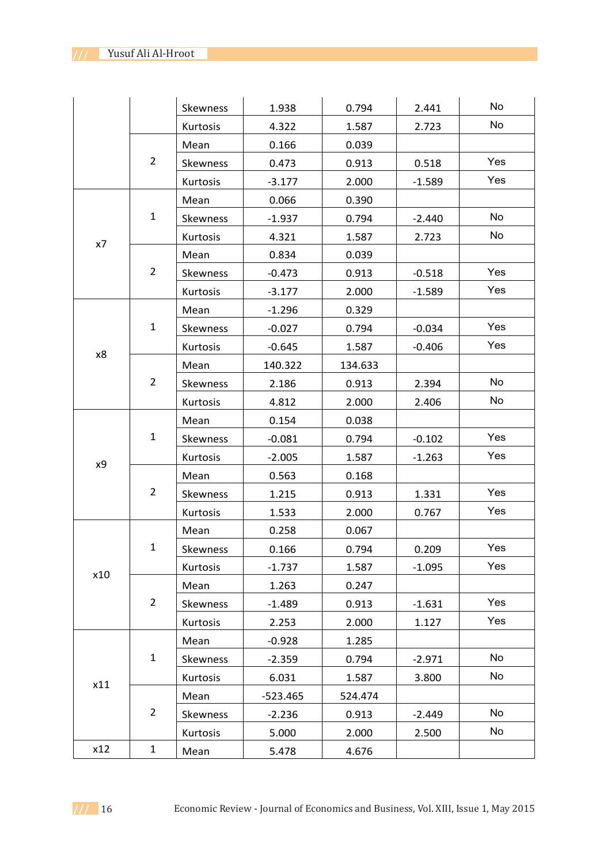|     |                | Skewness | 1.938      | 0.794   | 2.441    | No  |
|-----|----------------|----------|------------|---------|----------|-----|
|     |                | Kurtosis | 4.322      | 1.587   | 2.723    | No  |
|     |                | Mean     | 0.166      | 0.039   |          |     |
|     | $\overline{2}$ | Skewness | 0.473      | 0.913   | 0.518    | Yes |
|     |                | Kurtosis | $-3.177$   | 2.000   | $-1.589$ | Yes |
| x7  | $\mathbf{1}$   | Mean     | 0.066      | 0.390   |          |     |
|     |                | Skewness | $-1.937$   | 0.794   | $-2.440$ | No  |
|     |                | Kurtosis | 4.321      | 1.587   | 2.723    | No  |
|     | $\overline{2}$ | Mean     | 0.834      | 0.039   |          |     |
|     |                | Skewness | $-0.473$   | 0.913   | $-0.518$ | Yes |
|     |                | Kurtosis | $-3.177$   | 2.000   | $-1.589$ | Yes |
|     |                | Mean     | $-1.296$   | 0.329   |          |     |
|     | $\mathbf{1}$   | Skewness | $-0.027$   | 0.794   | $-0.034$ | Yes |
| x8  |                | Kurtosis | $-0.645$   | 1.587   | $-0.406$ | Yes |
|     |                | Mean     | 140.322    | 134.633 |          |     |
|     | $\overline{2}$ | Skewness | 2.186      | 0.913   | 2.394    | No  |
|     |                | Kurtosis | 4.812      | 2.000   | 2.406    | No  |
|     | $\mathbf{1}$   | Mean     | 0.154      | 0.038   |          |     |
|     |                | Skewness | $-0.081$   | 0.794   | $-0.102$ | Yes |
| x9  |                | Kurtosis | $-2.005$   | 1.587   | $-1.263$ | Yes |
|     |                | Mean     | 0.563      | 0.168   |          |     |
|     | $\overline{2}$ | Skewness | 1.215      | 0.913   | 1.331    | Yes |
|     |                | Kurtosis | 1.533      | 2.000   | 0.767    | Yes |
|     | $\mathbf{1}$   | Mean     | 0.258      | 0.067   |          |     |
|     |                | Skewness | 0.166      | 0.794   | 0.209    | Yes |
| x10 |                | Kurtosis | $-1.737$   | 1.587   | $-1.095$ | Yes |
|     | $\overline{2}$ | Mean     | 1.263      | 0.247   |          |     |
|     |                | Skewness | $-1.489$   | 0.913   | $-1.631$ | Yes |
|     |                | Kurtosis | 2.253      | 2.000   | 1.127    | Yes |
|     | $\mathbf{1}$   | Mean     | $-0.928$   | 1.285   |          |     |
|     |                | Skewness | $-2.359$   | 0.794   | $-2.971$ | No  |
| x11 |                | Kurtosis | 6.031      | 1.587   | 3.800    | No  |
|     |                | Mean     | $-523.465$ | 524.474 |          |     |
|     | $\overline{2}$ | Skewness | $-2.236$   | 0.913   | $-2.449$ | No  |
|     |                | Kurtosis | 5.000      | 2.000   | 2.500    | No  |
| x12 | $\mathbf{1}$   | Mean     | 5.478      | 4.676   |          |     |

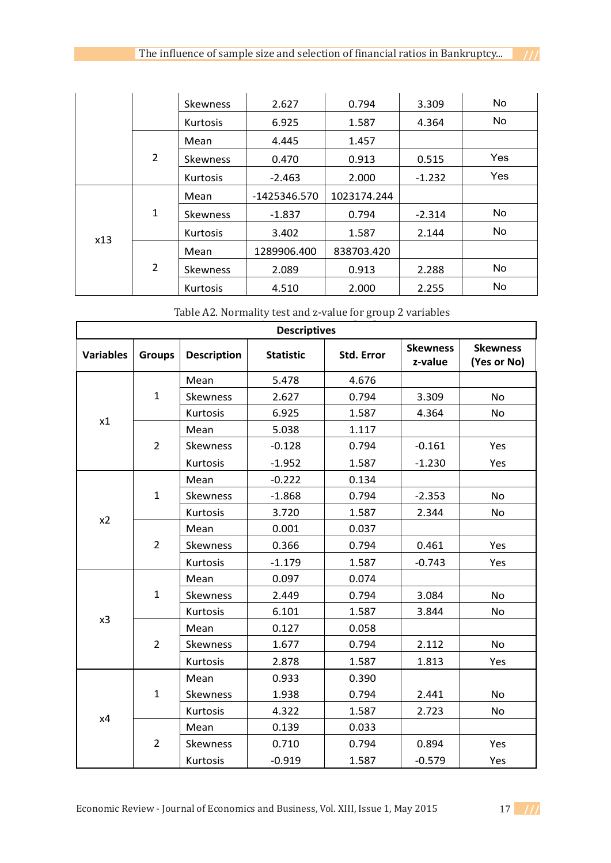|     |                | <b>Skewness</b> | 2.627        | 0.794       | 3.309    | No  |
|-----|----------------|-----------------|--------------|-------------|----------|-----|
|     |                | <b>Kurtosis</b> | 6.925        | 1.587       | 4.364    | No  |
|     | $\overline{2}$ | Mean            | 4.445        | 1.457       |          |     |
|     |                | <b>Skewness</b> | 0.470        | 0.913       | 0.515    | Yes |
|     |                | <b>Kurtosis</b> | $-2.463$     | 2.000       | $-1.232$ | Yes |
| x13 | 1              | Mean            | -1425346.570 | 1023174.244 |          |     |
|     |                | <b>Skewness</b> | $-1.837$     | 0.794       | $-2.314$ | No  |
|     |                | <b>Kurtosis</b> | 3.402        | 1.587       | 2.144    | No  |
|     | 2              | Mean            | 1289906.400  | 838703.420  |          |     |
|     |                | <b>Skewness</b> | 2.089        | 0.913       | 2.288    | No  |
|     |                | <b>Kurtosis</b> | 4.510        | 2.000       | 2.255    | No  |

**Table 2: Normality test and z-value for group 2 variables**  Table A2. Normality test and z-value for group 2 variables

| <b>Descriptives</b> |                |                    |                  |                   |                            |                                |
|---------------------|----------------|--------------------|------------------|-------------------|----------------------------|--------------------------------|
| <b>Variables</b>    | <b>Groups</b>  | <b>Description</b> | <b>Statistic</b> | <b>Std. Error</b> | <b>Skewness</b><br>z-value | <b>Skewness</b><br>(Yes or No) |
| x1                  | $\mathbf{1}$   | Mean               | 5.478            | 4.676             |                            |                                |
|                     |                | <b>Skewness</b>    | 2.627            | 0.794             | 3.309                      | <b>No</b>                      |
|                     |                | Kurtosis           | 6.925            | 1.587             | 4.364                      | <b>No</b>                      |
|                     | $\overline{2}$ | Mean               | 5.038            | 1.117             |                            |                                |
|                     |                | <b>Skewness</b>    | $-0.128$         | 0.794             | $-0.161$                   | Yes                            |
|                     |                | Kurtosis           | $-1.952$         | 1.587             | $-1.230$                   | Yes                            |
|                     | $\mathbf{1}$   | Mean               | $-0.222$         | 0.134             |                            |                                |
|                     |                | Skewness           | $-1.868$         | 0.794             | $-2.353$                   | <b>No</b>                      |
|                     |                | Kurtosis           | 3.720            | 1.587             | 2.344                      | <b>No</b>                      |
| x <sub>2</sub>      | $\overline{2}$ | Mean               | 0.001            | 0.037             |                            |                                |
|                     |                | <b>Skewness</b>    | 0.366            | 0.794             | 0.461                      | Yes                            |
|                     |                | Kurtosis           | $-1.179$         | 1.587             | $-0.743$                   | Yes                            |
|                     | $\mathbf{1}$   | Mean               | 0.097            | 0.074             |                            |                                |
|                     |                | Skewness           | 2.449            | 0.794             | 3.084                      | <b>No</b>                      |
|                     |                | Kurtosis           | 6.101            | 1.587             | 3.844                      | No                             |
| x3                  | $\overline{2}$ | Mean               | 0.127            | 0.058             |                            |                                |
|                     |                | <b>Skewness</b>    | 1.677            | 0.794             | 2.112                      | <b>No</b>                      |
|                     |                | Kurtosis           | 2.878            | 1.587             | 1.813                      | Yes                            |
|                     | $\mathbf{1}$   | Mean               | 0.933            | 0.390             |                            |                                |
|                     |                | Skewness           | 1.938            | 0.794             | 2.441                      | <b>No</b>                      |
| x4                  |                | Kurtosis           | 4.322            | 1.587             | 2.723                      | No                             |
|                     | $\overline{2}$ | Mean               | 0.139            | 0.033             |                            |                                |
|                     |                | Skewness           | 0.710            | 0.794             | 0.894                      | Yes                            |
|                     |                | Kurtosis           | $-0.919$         | 1.587             | $-0.579$                   | Yes                            |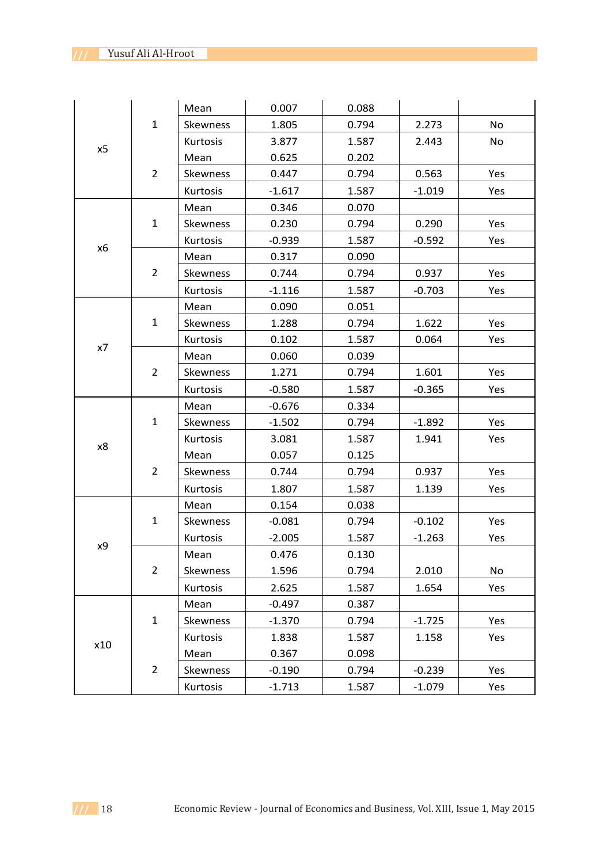| x5  | $\mathbf{1}$   | Mean     | 0.007    | 0.088 |          |           |
|-----|----------------|----------|----------|-------|----------|-----------|
|     |                | Skewness | 1.805    | 0.794 | 2.273    | <b>No</b> |
|     |                | Kurtosis | 3.877    | 1.587 | 2.443    | No        |
|     | $\overline{2}$ | Mean     | 0.625    | 0.202 |          |           |
|     |                | Skewness | 0.447    | 0.794 | 0.563    | Yes       |
|     |                | Kurtosis | $-1.617$ | 1.587 | $-1.019$ | Yes       |
|     | $\mathbf{1}$   | Mean     | 0.346    | 0.070 |          |           |
| x6  |                | Skewness | 0.230    | 0.794 | 0.290    | Yes       |
|     |                | Kurtosis | $-0.939$ | 1.587 | $-0.592$ | Yes       |
|     | $\overline{2}$ | Mean     | 0.317    | 0.090 |          |           |
|     |                | Skewness | 0.744    | 0.794 | 0.937    | Yes       |
|     |                | Kurtosis | $-1.116$ | 1.587 | $-0.703$ | Yes       |
|     |                | Mean     | 0.090    | 0.051 |          |           |
|     | $\mathbf{1}$   | Skewness | 1.288    | 0.794 | 1.622    | Yes       |
| x7  |                | Kurtosis | 0.102    | 1.587 | 0.064    | Yes       |
|     |                | Mean     | 0.060    | 0.039 |          |           |
|     | $\overline{2}$ | Skewness | 1.271    | 0.794 | 1.601    | Yes       |
|     |                | Kurtosis | $-0.580$ | 1.587 | $-0.365$ | Yes       |
|     |                | Mean     | $-0.676$ | 0.334 |          |           |
|     | $\mathbf{1}$   |          | $-1.502$ | 0.794 | $-1.892$ | Yes       |
|     |                | Skewness |          |       |          |           |
|     |                | Kurtosis | 3.081    | 1.587 | 1.941    | Yes       |
| x8  |                | Mean     | 0.057    | 0.125 |          |           |
|     | $\overline{2}$ | Skewness | 0.744    | 0.794 | 0.937    | Yes       |
|     |                | Kurtosis | 1.807    | 1.587 | 1.139    | Yes       |
|     |                | Mean     | 0.154    | 0.038 |          |           |
|     | $\mathbf{1}$   | Skewness | $-0.081$ | 0.794 | $-0.102$ | Yes       |
|     |                | Kurtosis | $-2.005$ | 1.587 | $-1.263$ | Yes       |
| х9  |                | Mean     | 0.476    | 0.130 |          |           |
|     | $\overline{2}$ | Skewness | 1.596    | 0.794 | 2.010    | No        |
|     |                | Kurtosis | 2.625    | 1.587 | 1.654    | Yes       |
|     |                | Mean     | $-0.497$ | 0.387 |          |           |
|     | $\mathbf 1$    | Skewness | $-1.370$ | 0.794 | $-1.725$ | Yes       |
|     |                | Kurtosis | 1.838    | 1.587 | 1.158    | Yes       |
| x10 |                | Mean     | 0.367    | 0.098 |          |           |
|     | $\overline{2}$ | Skewness | $-0.190$ | 0.794 | $-0.239$ | Yes       |